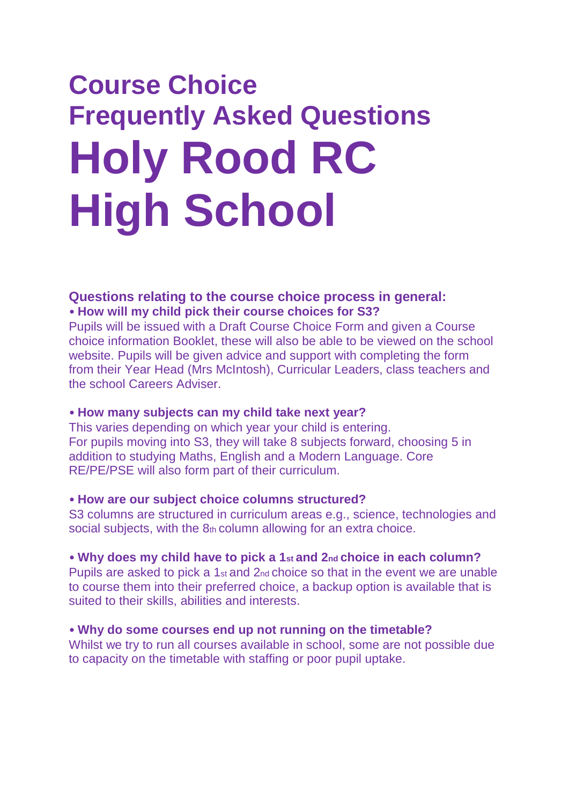# **Course Choice Frequently Asked Questions Holy Rood RC High School**

# **Questions relating to the course choice process in general:** • **How will my child pick their course choices for S3?**

Pupils will be issued with a Draft Course Choice Form and given a Course choice information Booklet, these will also be able to be viewed on the school website. Pupils will be given advice and support with completing the form from their Year Head (Mrs McIntosh), Curricular Leaders, class teachers and the school Careers Adviser.

## • **How many subjects can my child take next year?**

This varies depending on which year your child is entering. For pupils moving into S3, they will take 8 subjects forward, choosing 5 in addition to studying Maths, English and a Modern Language. Core RE/PE/PSE will also form part of their curriculum.

## • **How are our subject choice columns structured?**

S3 columns are structured in curriculum areas e.g., science, technologies and social subjects, with the 8th column allowing for an extra choice.

## • **Why does my child have to pick a 1st and 2nd choice in each column?**

Pupils are asked to pick a 1<sup>st</sup> and 2<sup>nd</sup> choice so that in the event we are unable to course them into their preferred choice, a backup option is available that is suited to their skills, abilities and interests.

## • **Why do some courses end up not running on the timetable?**

Whilst we try to run all courses available in school, some are not possible due to capacity on the timetable with staffing or poor pupil uptake.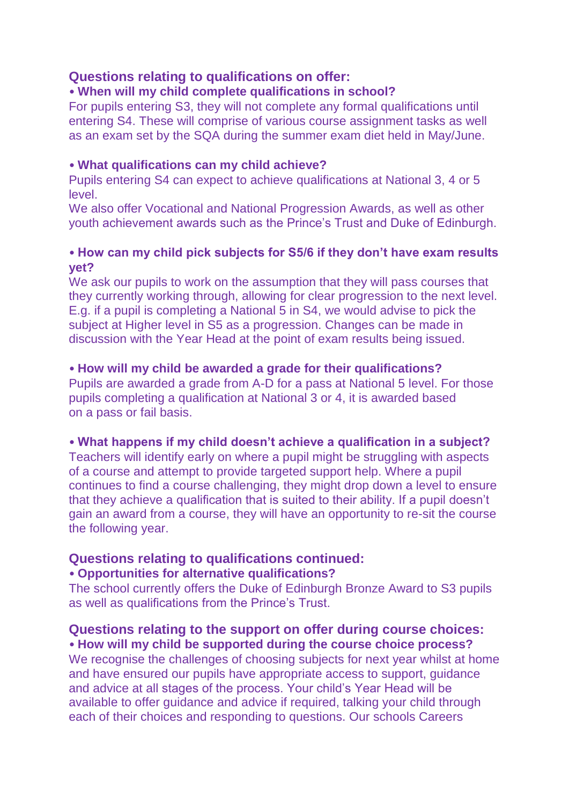# **Questions relating to qualifications on offer:**

## • **When will my child complete qualifications in school?**

For pupils entering S3, they will not complete any formal qualifications until entering S4. These will comprise of various course assignment tasks as well as an exam set by the SQA during the summer exam diet held in May/June.

#### • **What qualifications can my child achieve?**

Pupils entering S4 can expect to achieve qualifications at National 3, 4 or 5 level.

We also offer Vocational and National Progression Awards, as well as other youth achievement awards such as the Prince's Trust and Duke of Edinburgh.

## • **How can my child pick subjects for S5/6 if they don't have exam results yet?**

We ask our pupils to work on the assumption that they will pass courses that they currently working through, allowing for clear progression to the next level. E.g. if a pupil is completing a National 5 in S4, we would advise to pick the subject at Higher level in S5 as a progression. Changes can be made in discussion with the Year Head at the point of exam results being issued.

## • **How will my child be awarded a grade for their qualifications?**

Pupils are awarded a grade from A-D for a pass at National 5 level. For those pupils completing a qualification at National 3 or 4, it is awarded based on a pass or fail basis.

## • **What happens if my child doesn't achieve a qualification in a subject?**

Teachers will identify early on where a pupil might be struggling with aspects of a course and attempt to provide targeted support help. Where a pupil continues to find a course challenging, they might drop down a level to ensure that they achieve a qualification that is suited to their ability. If a pupil doesn't gain an award from a course, they will have an opportunity to re-sit the course the following year.

# **Questions relating to qualifications continued:**

## • **Opportunities for alternative qualifications?**

The school currently offers the Duke of Edinburgh Bronze Award to S3 pupils as well as qualifications from the Prince's Trust.

# **Questions relating to the support on offer during course choices:** • **How will my child be supported during the course choice process?**

We recognise the challenges of choosing subjects for next year whilst at home and have ensured our pupils have appropriate access to support, guidance and advice at all stages of the process. Your child's Year Head will be available to offer guidance and advice if required, talking your child through each of their choices and responding to questions. Our schools Careers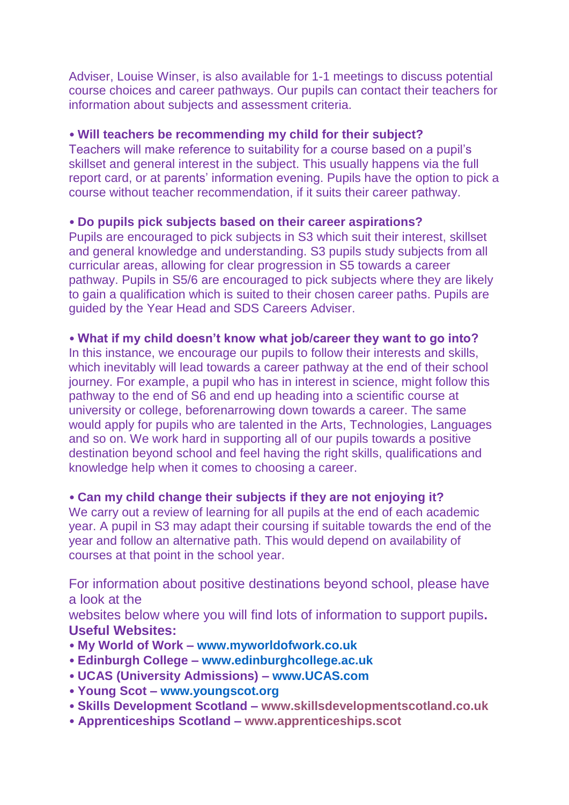Adviser, Louise Winser, is also available for 1-1 meetings to discuss potential course choices and career pathways. Our pupils can contact their teachers for information about subjects and assessment criteria.

#### • **Will teachers be recommending my child for their subject?**

Teachers will make reference to suitability for a course based on a pupil's skillset and general interest in the subject. This usually happens via the full report card, or at parents' information evening. Pupils have the option to pick a course without teacher recommendation, if it suits their career pathway.

#### • **Do pupils pick subjects based on their career aspirations?**

Pupils are encouraged to pick subjects in S3 which suit their interest, skillset and general knowledge and understanding. S3 pupils study subjects from all curricular areas, allowing for clear progression in S5 towards a career pathway. Pupils in S5/6 are encouraged to pick subjects where they are likely to gain a qualification which is suited to their chosen career paths. Pupils are guided by the Year Head and SDS Careers Adviser.

#### • **What if my child doesn't know what job/career they want to go into?**

In this instance, we encourage our pupils to follow their interests and skills, which inevitably will lead towards a career pathway at the end of their school journey. For example, a pupil who has in interest in science, might follow this pathway to the end of S6 and end up heading into a scientific course at university or college, beforenarrowing down towards a career. The same would apply for pupils who are talented in the Arts, Technologies, Languages and so on. We work hard in supporting all of our pupils towards a positive destination beyond school and feel having the right skills, qualifications and knowledge help when it comes to choosing a career.

## • **Can my child change their subjects if they are not enjoying it?**

We carry out a review of learning for all pupils at the end of each academic year. A pupil in S3 may adapt their coursing if suitable towards the end of the year and follow an alternative path. This would depend on availability of courses at that point in the school year.

For information about positive destinations beyond school, please have a look at the

websites below where you will find lots of information to support pupils**. Useful Websites:**

- **My World of Work – www.myworldofwork.co.uk**
- **Edinburgh College – www.edinburghcollege.ac.uk**
- **UCAS (University Admissions) – www.UCAS.com**
- **Young Scot – www.youngscot.org**
- **Skills Development Scotland – www.skillsdevelopmentscotland.co.uk**
- **Apprenticeships Scotland – www.apprenticeships.scot**